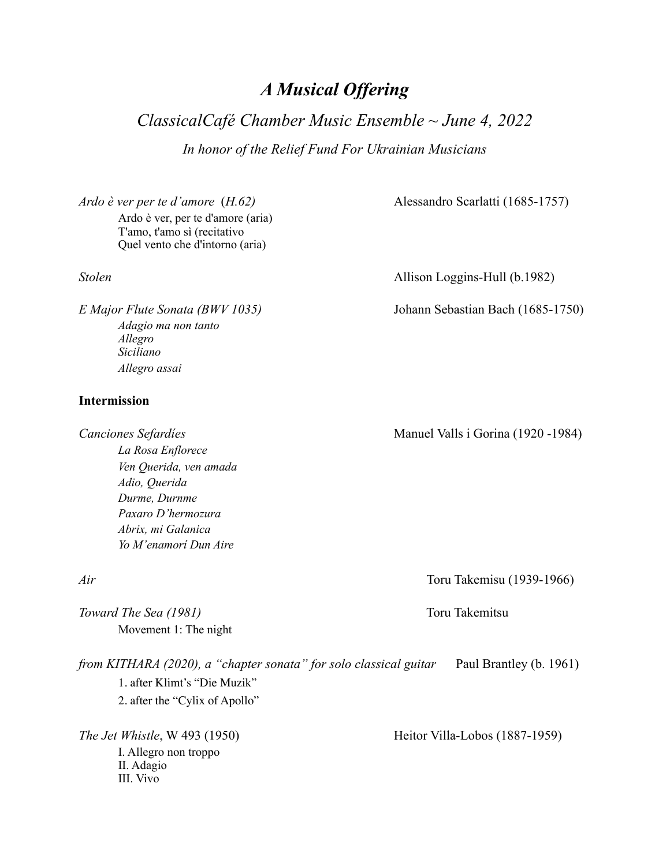# *A Musical Offering*

*ClassicalCafé Chamber Music Ensemble ~ June 4, 2022 In honor of the Relief Fund For Ukrainian Musicians*

*Ardo è ver per te d'amore* (*H.62)* Alessandro Scarlatti (1685-1757) Ardo è ver, per te d'amore (aria) T'amo, t'amo sì (recitativo Quel vento che d'intorno (aria)

*Adagio ma non tanto Allegro Siciliano Allegro assai* 

### **Intermission**

*La Rosa Enflorece Ven Querida, ven amada Adio, Querida Durme, Durnme Paxaro D'hermozura Abrix, mi Galanica Yo M'enamorí Dun Aire*

*Toward The Sea (1981)* Toru Takemitsu Movement 1: The night

*from KITHARA (2020), a "chapter sonata" for solo classical guitar* Paul Brantley (b. 1961) 1. after Klimt's "Die Muzik" 2. after the "Cylix of Apollo"

I. Allegro non troppo II. Adagio III. Vivo

*Stolen* Allison Loggins-Hull (b.1982)

*E Major Flute Sonata (BWV 1035)* Johann Sebastian Bach (1685-1750)

*Canciones Sefardíes* Manuel Valls i Gorina (1920 -1984)

*Air* Toru Takemisu (1939-1966)

*The Jet Whistle*, W 493 (1950) Heitor Villa-Lobos (1887-1959)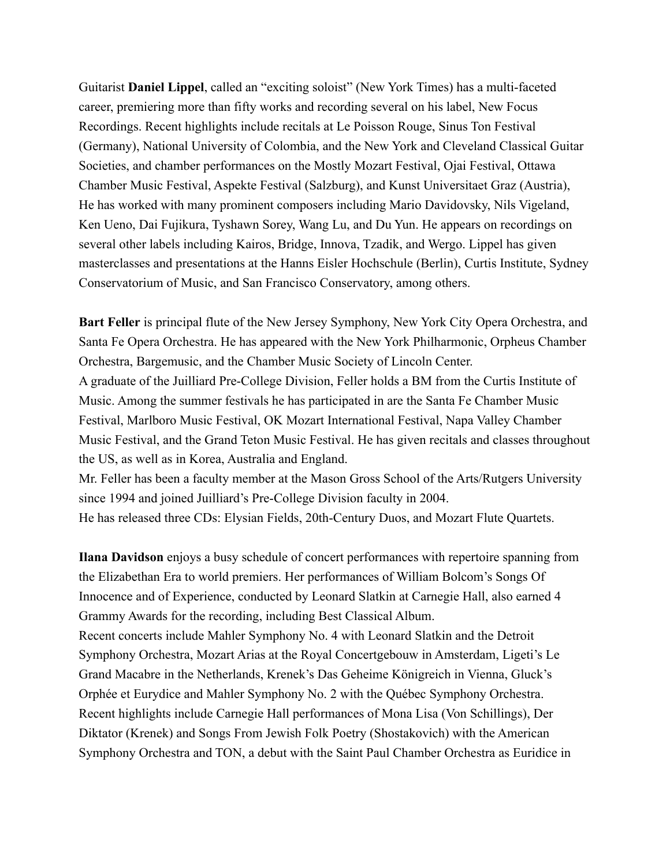Guitarist **Daniel Lippel**, called an "exciting soloist" (New York Times) has a multi-faceted career, premiering more than fifty works and recording several on his label, New Focus Recordings. Recent highlights include recitals at Le Poisson Rouge, Sinus Ton Festival (Germany), National University of Colombia, and the New York and Cleveland Classical Guitar Societies, and chamber performances on the Mostly Mozart Festival, Ojai Festival, Ottawa Chamber Music Festival, Aspekte Festival (Salzburg), and Kunst Universitaet Graz (Austria), He has worked with many prominent composers including Mario Davidovsky, Nils Vigeland, Ken Ueno, Dai Fujikura, Tyshawn Sorey, Wang Lu, and Du Yun. He appears on recordings on several other labels including Kairos, Bridge, Innova, Tzadik, and Wergo. Lippel has given masterclasses and presentations at the Hanns Eisler Hochschule (Berlin), Curtis Institute, Sydney Conservatorium of Music, and San Francisco Conservatory, among others.

**Bart Feller** is principal flute of the New Jersey Symphony, New York City Opera Orchestra, and Santa Fe Opera Orchestra. He has appeared with the New York Philharmonic, Orpheus Chamber Orchestra, Bargemusic, and the Chamber Music Society of Lincoln Center.

A graduate of the Juilliard Pre-College Division, Feller holds a BM from the Curtis Institute of Music. Among the summer festivals he has participated in are the Santa Fe Chamber Music Festival, Marlboro Music Festival, OK Mozart International Festival, Napa Valley Chamber Music Festival, and the Grand Teton Music Festival. He has given recitals and classes throughout the US, as well as in Korea, Australia and England.

Mr. Feller has been a faculty member at the Mason Gross School of the Arts/Rutgers University since 1994 and joined Juilliard's Pre-College Division faculty in 2004.

He has released three CDs: Elysian Fields, 20th-Century Duos, and Mozart Flute Quartets.

**Ilana Davidson** enjoys a busy schedule of concert performances with repertoire spanning from the Elizabethan Era to world premiers. Her performances of William Bolcom's Songs Of Innocence and of Experience, conducted by Leonard Slatkin at Carnegie Hall, also earned 4 Grammy Awards for the recording, including Best Classical Album.

Recent concerts include Mahler Symphony No. 4 with Leonard Slatkin and the Detroit Symphony Orchestra, Mozart Arias at the Royal Concertgebouw in Amsterdam, Ligeti's Le Grand Macabre in the Netherlands, Krenek's Das Geheime Königreich in Vienna, Gluck's Orphée et Eurydice and Mahler Symphony No. 2 with the Québec Symphony Orchestra. Recent highlights include Carnegie Hall performances of Mona Lisa (Von Schillings), Der Diktator (Krenek) and Songs From Jewish Folk Poetry (Shostakovich) with the American Symphony Orchestra and TON, a debut with the Saint Paul Chamber Orchestra as Euridice in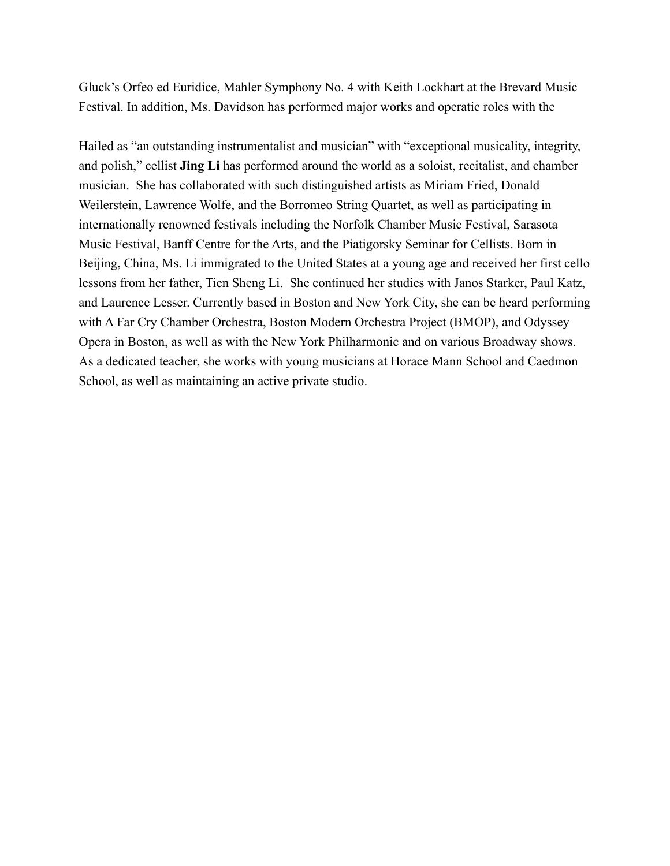Gluck's Orfeo ed Euridice, Mahler Symphony No. 4 with Keith Lockhart at the Brevard Music Festival. In addition, Ms. Davidson has performed major works and operatic roles with the

Hailed as "an outstanding instrumentalist and musician" with "exceptional musicality, integrity, and polish," cellist **Jing Li** has performed around the world as a soloist, recitalist, and chamber musician. She has collaborated with such distinguished artists as Miriam Fried, Donald Weilerstein, Lawrence Wolfe, and the Borromeo String Quartet, as well as participating in internationally renowned festivals including the Norfolk Chamber Music Festival, Sarasota Music Festival, Banff Centre for the Arts, and the Piatigorsky Seminar for Cellists. Born in Beijing, China, Ms. Li immigrated to the United States at a young age and received her first cello lessons from her father, Tien Sheng Li. She continued her studies with Janos Starker, Paul Katz, and Laurence Lesser. Currently based in Boston and New York City, she can be heard performing with A Far Cry Chamber Orchestra, Boston Modern Orchestra Project (BMOP), and Odyssey Opera in Boston, as well as with the New York Philharmonic and on various Broadway shows. As a dedicated teacher, she works with young musicians at Horace Mann School and Caedmon School, as well as maintaining an active private studio.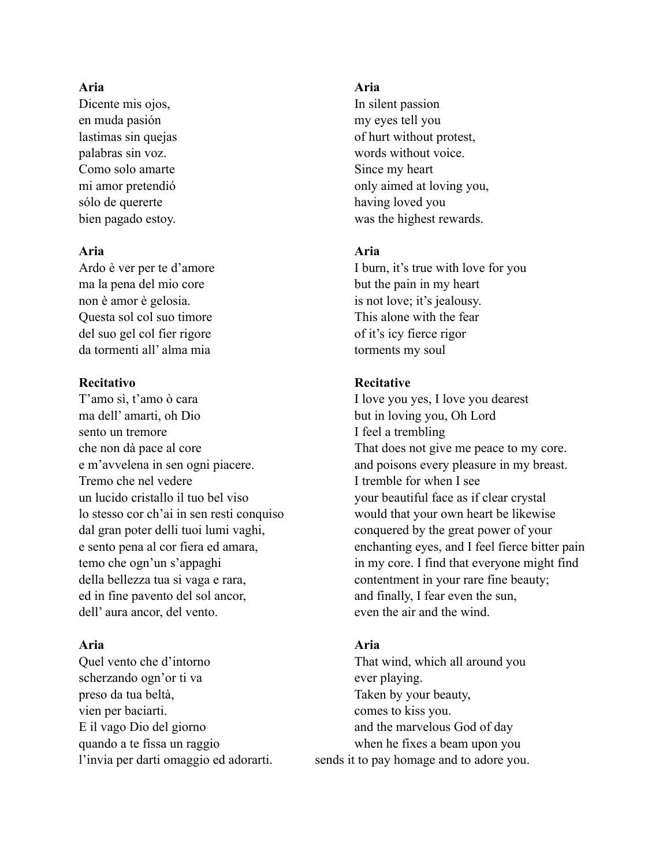## **Aria Aria**

Dicente mis ojos, In silent passion en muda pasión my eyes tell you Como solo amarte Since my heart sólo de quererte having loved you

ma la pena del mio core but the pain in my heart non è amor è gelosia. is not love; it's jealousy. Questa sol col suo timore This alone with the fear del suo gel col fier rigore of it's icy fierce rigor da tormenti all' alma mia torments my soul

### **Recitativo Recitative**

T'amo sì, t'amo ò cara I love you yes, I love you dearest ma dell' amarti, oh Dio but in loving you, Oh Lord sento un tremore I feel a trembling Tremo che nel vedere I tremble for when I see un lucido cristallo il tuo bel viso your beautiful face as if clear crystal lo stesso cor ch'ai in sen resti conquiso would that your own heart be likewise dal gran poter delli tuoi lumi vaghi, conquered by the great power of your della bellezza tua si vaga e rara, contentment in your rare fine beauty; ed in fine pavento del sol ancor, and finally, I fear even the sun, dell' aura ancor, del vento. even the air and the wind.

scherzando ogn'or ti va ever playing. preso da tua beltà, Taken by your beauty, vien per baciarti. comes to kiss you. E il vago Dio del giorno and the marvelous God of day quando a te fissa un raggio when he fixes a beam upon you

lastimas sin quejas of hurt without protest, palabras sin voz. words without voice. mi amor pretendió only aimed at loving you, bien pagado estoy. was the highest rewards.

# **Aria Aria**

Ardo è ver per te d'amore I burn, it's true with love for you

che non dà pace al core That does not give me peace to my core. e m'avvelena in sen ogni piacere. and poisons every pleasure in my breast. e sento pena al cor fiera ed amara, enchanting eyes, and I feel fierce bitter pain temo che ogn'un s'appaghi in my core. I find that everyone might find

# **Aria Aria**

Quel vento che d'intorno That wind, which all around you l'invia per darti omaggio ed adorarti. sends it to pay homage and to adore you.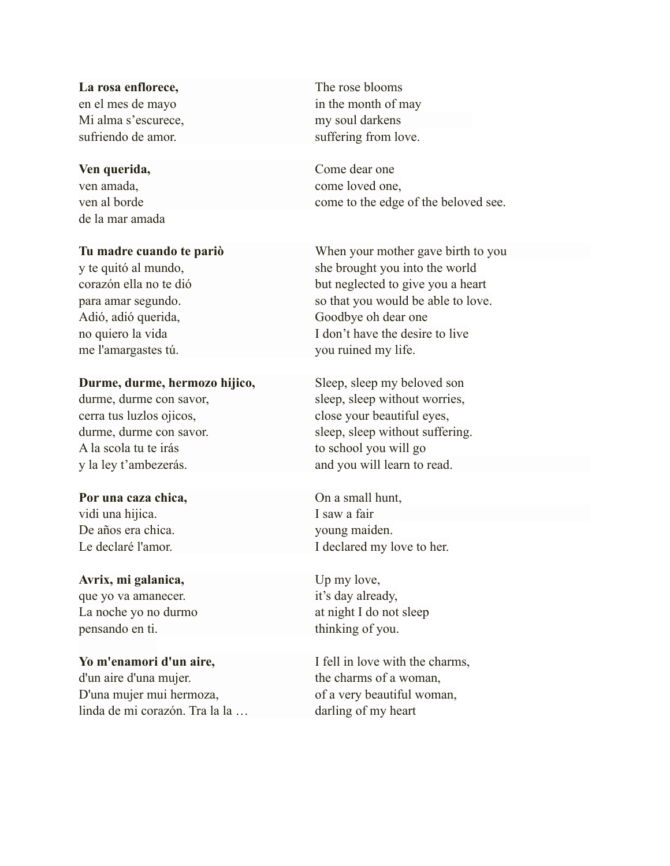La rosa enflorece, The rose blooms Mi alma s'escurece, my soul darkens sufriendo de amor. Suffering from love.

de la mar amada

me l'amargastes tú. you ruined my life.

### **Durme, durme, hermozo hijico,** Sleep, sleep my beloved son

A la scola tu te irás to school you will go

### **Por una caza chica,** On a small hunt,

vidi una hijica. I saw a fair De años era chica. young maiden.

### Avrix, mi galanica, Up my love,

que yo va amanecer.  $i$  it's day already, La noche yo no durmo at night I do not sleep pensando en ti. thinking of you.

### Yo m'enamori d'un aire,<br>I fell in love with the charms,

d'un aire d'una mujer. the charms of a woman, D'una mujer mui hermoza, of a very beautiful woman, linda de mi corazón. Tra la la ... darling of my heart

en el mes de mayo in the month of may

**Ven querida,** Come dear one ven amada, come loved one, ven al borde come to the edge of the beloved see.

**Tu madre cuando te pariò** When your mother gave birth to you y te quitó al mundo, she brought you into the world corazón ella no te dió but neglected to give you a heart para amar segundo. So that you would be able to love. Adió, adió querida, Goodbye oh dear one no quiero la vida I don't have the desire to live

durme, durme con savor, sleep, sleep, sleep without worries, cerra tus luzlos ojicos, close your beautiful eyes, durme, durme con savor. sleep, sleep without suffering. y la ley t'ambezerás. and you will learn to read.

Le declaré l'amor. I declared my love to her.